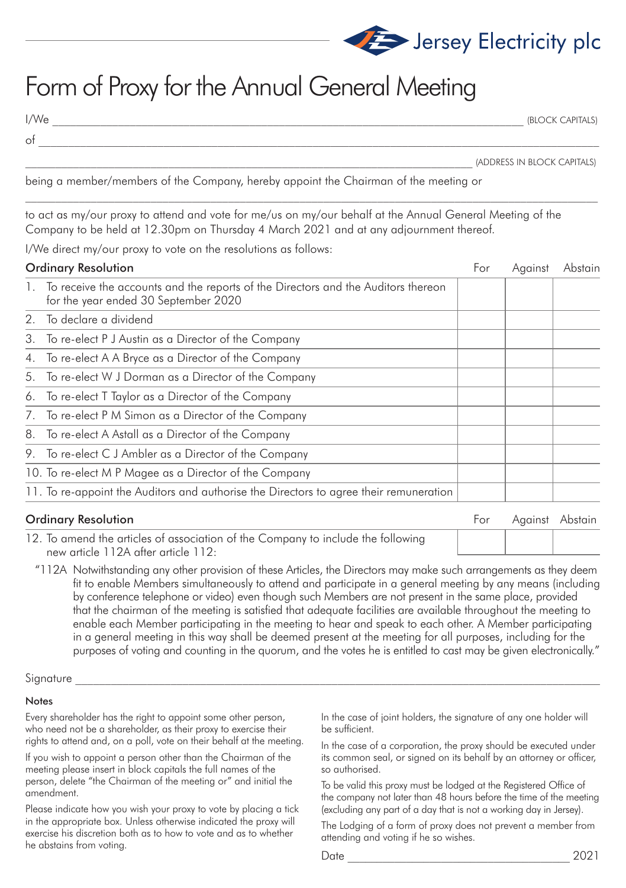

## Form of Proxy for the Annual General Meeting

of \_\_\_\_\_\_\_\_\_\_\_\_\_\_\_\_\_\_\_\_\_\_\_\_\_\_\_\_\_\_\_\_\_\_\_\_\_\_\_\_\_\_\_\_\_\_\_\_\_\_\_\_\_\_\_\_\_\_\_\_\_\_\_\_\_\_\_\_\_\_\_\_\_\_\_\_\_\_\_\_\_\_\_\_\_\_\_\_\_\_\_\_\_\_

I/We \_\_\_\_\_\_\_\_\_\_\_\_\_\_\_\_\_\_\_\_\_\_\_\_\_\_\_\_\_\_\_\_\_\_\_\_\_\_\_\_\_\_\_\_\_\_\_\_\_\_\_\_\_\_\_\_\_\_\_\_\_\_\_\_\_\_\_\_\_\_\_\_\_\_\_\_\_\_\_ (BLOCK CAPITALS)

\_\_\_\_\_\_\_\_\_\_\_\_\_\_\_\_\_\_\_\_\_\_\_\_\_\_\_\_\_\_\_\_\_\_\_\_\_\_\_\_\_\_\_\_\_\_\_\_\_\_\_\_\_\_\_\_\_\_\_\_\_\_\_\_\_\_\_\_\_\_\_\_\_\_\_ (ADDRESS IN BLOCK CAPITALS)

being a member/members of the Company, hereby appoint the Chairman of the meeting or

to act as my/our proxy to attend and vote for me/us on my/our behalf at the Annual General Meeting of the Company to be held at 12.30pm on Thursday 4 March 2021 and at any adjournment thereof.

I/We direct my/our proxy to vote on the resolutions as follows:

| <b>Ordinary Resolution</b> |                                                                                                                           | For | Against | Abstain |
|----------------------------|---------------------------------------------------------------------------------------------------------------------------|-----|---------|---------|
| $\mathbf{L}$               | To receive the accounts and the reports of the Directors and the Auditors thereon<br>for the year ended 30 September 2020 |     |         |         |
|                            | 2. To declare a dividend                                                                                                  |     |         |         |
|                            | 3. To re-elect P J Austin as a Director of the Company                                                                    |     |         |         |
|                            | 4. To re-elect A A Bryce as a Director of the Company                                                                     |     |         |         |
|                            | 5. To re-elect W J Dorman as a Director of the Company                                                                    |     |         |         |
|                            | 6. To re-elect T Taylor as a Director of the Company                                                                      |     |         |         |
|                            | 7. To re-elect P M Simon as a Director of the Company                                                                     |     |         |         |
|                            | 8. To re-elect A Astall as a Director of the Company                                                                      |     |         |         |
|                            | 9. To re-elect C J Ambler as a Director of the Company                                                                    |     |         |         |
|                            | 10. To re-elect M P Magee as a Director of the Company                                                                    |     |         |         |
|                            | 11. To re-appoint the Auditors and authorise the Directors to agree their remuneration                                    |     |         |         |

**Ordinary Resolution** For Against Abstain **For Against Abstain** 

12. To amend the articles of association of the Company to include the following new article 112A after article 112:

 "112A Notwithstanding any other provision of these Articles, the Directors may make such arrangements as they deem fit to enable Members simultaneously to attend and participate in a general meeting by any means (including by conference telephone or video) even though such Members are not present in the same place, provided that the chairman of the meeting is satisfied that adequate facilities are available throughout the meeting to enable each Member participating in the meeting to hear and speak to each other. A Member participating in a general meeting in this way shall be deemed present at the meeting for all purposes, including for the purposes of voting and counting in the quorum, and the votes he is entitled to cast may be given electronically."

## ${\rm Signature}$

## Notes

Every shareholder has the right to appoint some other person, who need not be a shareholder, as their proxy to exercise their rights to attend and, on a poll, vote on their behalf at the meeting.

If you wish to appoint a person other than the Chairman of the meeting please insert in block capitals the full names of the person, delete "the Chairman of the meeting or" and initial the amendment.

Please indicate how you wish your proxy to vote by placing a tick in the appropriate box. Unless otherwise indicated the proxy will exercise his discretion both as to how to vote and as to whether he abstains from voting.

In the case of joint holders, the signature of any one holder will be sufficient.

In the case of a corporation, the proxy should be executed under its common seal, or signed on its behalf by an attorney or officer, so authorised.

To be valid this proxy must be lodged at the Registered Office of the company not later than 48 hours before the time of the meeting (excluding any part of a day that is not a working day in Jersey).

The Lodging of a form of proxy does not prevent a member from attending and voting if he so wishes.